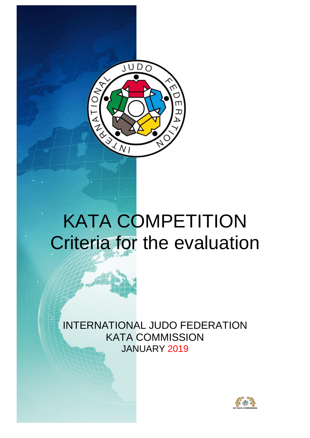

# KATA COMPETITION Criteria for the evaluation

INTERNATIONAL JUDO FEDERATION KATA COMMISSION JANUARY 2019

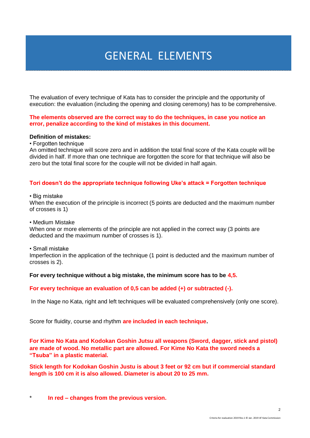### GENERAL ELEMENTS

The evaluation of every technique of Kata has to consider the principle and the opportunity of execution: the evaluation (including the opening and closing ceremony) has to be comprehensive.

#### **The elements observed are the correct way to do the techniques, in case you notice an error, penalize according to the kind of mistakes in this document.**

#### **Definition of mistakes:**

• Forgotten technique

An omitted technique will score zero and in addition the total final score of the Kata couple will be divided in half. If more than one technique are forgotten the score for that technique will also be zero but the total final score for the couple will not be divided in half again.

#### **Tori doesn't do the appropriate technique following Uke's attack = Forgotten technique**

• Big mistake

When the execution of the principle is incorrect (5 points are deducted and the maximum number of crosses is 1)

• Medium Mistake

When one or more elements of the principle are not applied in the correct way (3 points are deducted and the maximum number of crosses is 1).

• Small mistake

Imperfection in the application of the technique (1 point is deducted and the maximum number of crosses is 2).

#### **For every technique without a big mistake, the minimum score has to be 4,5.**

#### **For every technique an evaluation of 0,5 can be added (+) or subtracted (-).**

In the Nage no Kata, right and left techniques will be evaluated comprehensively (only one score).

Score for fluidity, course and rhythm **are included in each technique.**

**For Kime No Kata and Kodokan Goshin Jutsu all weapons (Sword, dagger, stick and pistol) are made of wood. No metallic part are allowed. For Kime No Kata the sword needs a "Tsuba" in a plastic material.**

**Stick length for Kodokan Goshin Justu is about 3 feet or 92 cm but if commercial standard length is 100 cm it is also allowed. Diameter is about 20 to 25 mm.**

In red – changes from the previous version.

 $\mathcal{L}$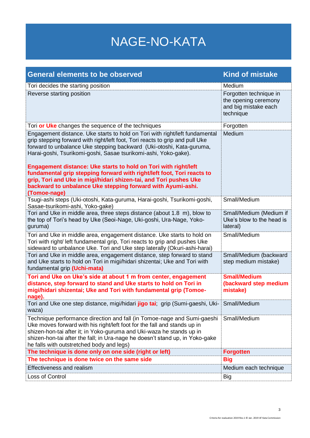# NAGE-NO-KATA

| <b>General elements to be observed</b>                                                                                                                                                                                                                                                                                                                                                                                                                                                                                                                                                                  | <b>Kind of mistake</b>                                                              |
|---------------------------------------------------------------------------------------------------------------------------------------------------------------------------------------------------------------------------------------------------------------------------------------------------------------------------------------------------------------------------------------------------------------------------------------------------------------------------------------------------------------------------------------------------------------------------------------------------------|-------------------------------------------------------------------------------------|
| Tori decides the starting position                                                                                                                                                                                                                                                                                                                                                                                                                                                                                                                                                                      | Medium                                                                              |
| Reverse starting position                                                                                                                                                                                                                                                                                                                                                                                                                                                                                                                                                                               | Forgotten technique in<br>the opening ceremony<br>and big mistake each<br>technique |
| Tori or Uke changes the sequence of the techniques                                                                                                                                                                                                                                                                                                                                                                                                                                                                                                                                                      | Forgotten                                                                           |
| Engagement distance. Uke starts to hold on Tori with right/left fundamental<br>grip stepping forward with right/left foot, Tori reacts to grip and pull Uke<br>forward to unbalance Uke stepping backward (Uki-otoshi, Kata-guruma,<br>Harai-goshi, Tsurikomi-goshi, Sasae tsurikomi-ashi, Yoko-gake).<br>Engagement distance: Uke starts to hold on Tori with right/left<br>fundamental grip stepping forward with right/left foot, Tori reacts to<br>grip, Tori and Uke in migi/hidari shizen-tai, and Tori pushes Uke<br>backward to unbalance Uke stepping forward with Ayumi-ashi.<br>(Tomoe-nage) | Medium                                                                              |
| Tsugi-ashi steps (Uki-otoshi, Kata-guruma, Harai-goshi, Tsurikomi-goshi,                                                                                                                                                                                                                                                                                                                                                                                                                                                                                                                                | Small/Medium                                                                        |
| Sasae-tsurikomi-ashi, Yoko-gake)<br>Tori and Uke in middle area, three steps distance (about 1.8 m), blow to<br>the top of Tori's head by Uke (Seoi-Nage, Uki-goshi, Ura-Nage, Yoko-<br>guruma)                                                                                                                                                                                                                                                                                                                                                                                                         | Small/Medium (Medium if<br>Uke's blow to the head is<br>lateral)                    |
| Tori and Uke in middle area, engagement distance. Uke starts to hold on<br>Tori with right/ left fundamental grip, Tori reacts to grip and pushes Uke<br>sideward to unbalance Uke. Tori and Uke step laterally (Okuri-ashi-harai)                                                                                                                                                                                                                                                                                                                                                                      | Small/Medium                                                                        |
| Tori and Uke in middle area, engagement distance, step forward to stand<br>and Uke starts to hold on Tori in migi/hidari shizentai; Uke and Tori with<br>fundamental grip (Uchi-mata)                                                                                                                                                                                                                                                                                                                                                                                                                   | Small/Medium (backward<br>step medium mistake)                                      |
| Tori and Uke on Uke's side at about 1 m from center, engagement<br>distance, step forward to stand and Uke starts to hold on Tori in<br>migi/hidari shizentai; Uke and Tori with fundamental grip (Tomoe-<br>nage).                                                                                                                                                                                                                                                                                                                                                                                     | <b>Small/Medium</b><br>(backward step medium<br>mistake)                            |
| Tori and Uke one step distance, migi/hidari jigo tai; grip (Sumi-gaeshi, Uki-<br>waza)                                                                                                                                                                                                                                                                                                                                                                                                                                                                                                                  | Small/Medium                                                                        |
| Technique performance direction and fall (in Tomoe-nage and Sumi-gaeshi<br>Uke moves forward with his right/left foot for the fall and stands up in<br>shizen-hon-tai after it; in Yoko-guruma and Uki-waza he stands up in<br>shizen-hon-tai after the fall; in Ura-nage he doesn't stand up, in Yoko-gake<br>he falls with outstretched body and legs)                                                                                                                                                                                                                                                | Small/Medium                                                                        |
| The technique is done only on one side (right or left)                                                                                                                                                                                                                                                                                                                                                                                                                                                                                                                                                  | <b>Forgotten</b>                                                                    |
| The technique is done twice on the same side                                                                                                                                                                                                                                                                                                                                                                                                                                                                                                                                                            | <b>Big</b>                                                                          |
| Effectiveness and realism                                                                                                                                                                                                                                                                                                                                                                                                                                                                                                                                                                               | Medium each technique                                                               |
| Loss of Control                                                                                                                                                                                                                                                                                                                                                                                                                                                                                                                                                                                         | Big                                                                                 |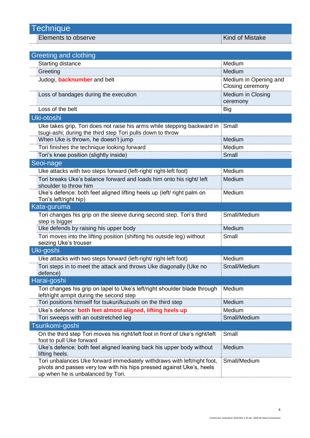Elements to observe **Kind of Mistake** 

| Greeting and clothing                                                                                                                                                                 |                                           |
|---------------------------------------------------------------------------------------------------------------------------------------------------------------------------------------|-------------------------------------------|
| Starting distance                                                                                                                                                                     | Medium                                    |
| Greeting                                                                                                                                                                              | Medium                                    |
| Judogi, <b>backnumber</b> and belt                                                                                                                                                    | Medium in Opening and<br>Closing ceremony |
| Loss of bandages during the execution                                                                                                                                                 | Medium in Closing<br>ceremony             |
| Loss of the belt                                                                                                                                                                      | Big                                       |
| Uki-otoshi                                                                                                                                                                            |                                           |
| Uke takes grip, Tori does not raise his arms while stepping backward in<br>tsugi-ashi; during the third step Tori pulls down to throw                                                 | Small                                     |
| When Uke is thrown, he doesn't jump                                                                                                                                                   | Medium                                    |
| Tori finishes the technique looking forward                                                                                                                                           | Medium                                    |
| Tori's knee position (slightly inside)                                                                                                                                                | Small                                     |
| Seoi-nage                                                                                                                                                                             |                                           |
| Uke attacks with two steps forward (left-right/ right-left foot)                                                                                                                      | Medium                                    |
| Tori breaks Uke's balance forward and loads him onto his right/ left<br>shoulder to throw him                                                                                         | Medium                                    |
| Uke's defence: both feet aligned lifting heels up (left/ right palm on<br>Tori's left/right hip)                                                                                      | Medium                                    |
| Kata-guruma                                                                                                                                                                           |                                           |
| Tori changes his grip on the sleeve during second step. Tori's third<br>step is bigger                                                                                                | Small/Medium                              |
| Uke defends by raising his upper body                                                                                                                                                 | Medium                                    |
| Tori moves into the lifting position (shifting his outside leg) without<br>seizing Uke's trouser                                                                                      | Small                                     |
| Uki-goshi                                                                                                                                                                             |                                           |
| Uke attacks with two steps forward (left-right/ right-left foot)                                                                                                                      | Medium                                    |
| Tori steps in to meet the attack and throws Uke diagonally (Uke no<br>defence)                                                                                                        | Small/Medium                              |
| Harai-goshi                                                                                                                                                                           |                                           |
| Tori changes his grip on lapel to Uke's left/right shoulder blade through<br>left/right armpit during the second step                                                                 | Medium                                    |
| Tori positions himself for tsukuri/kuzushi on the third step                                                                                                                          | Medium                                    |
| Uke's defence: both feet almost aligned, lifting heels up                                                                                                                             | Medium                                    |
| Tori sweeps with an outstretched leg                                                                                                                                                  | Small/Medium                              |
| Tsurikomi-goshi                                                                                                                                                                       |                                           |
| On the third step Tori moves his right/left foot in front of Uke's right/left<br>foot to pull Uke forward                                                                             | Small                                     |
| Uke's defence: both feet aligned leaning back his upper body without<br>lifting heels.                                                                                                | Medium                                    |
| Tori unbalances Uke forward immediately withdraws with left/right foot,<br>pivots and passes very low with his hips pressed against Uke's, heels<br>up when he is unbalanced by Tori. | Small/Medium                              |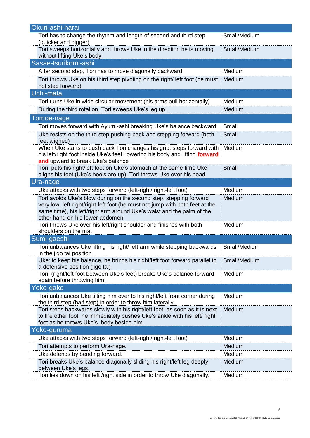| Okuri-ashi-harai                                                                                                                         |              |
|------------------------------------------------------------------------------------------------------------------------------------------|--------------|
| Tori has to change the rhythm and length of second and third step                                                                        | Small/Medium |
| (quicker and bigger)                                                                                                                     |              |
| Tori sweeps horizontally and throws Uke in the direction he is moving<br>without lifting Uke's body.                                     | Small/Medium |
| Sasae-tsurikomi-ashi                                                                                                                     |              |
| After second step, Tori has to move diagonally backward                                                                                  | Medium       |
| Tori throws Uke on his third step pivoting on the right/left foot (he must                                                               | Medium       |
| not step forward)                                                                                                                        |              |
| Uchi-mata                                                                                                                                |              |
| Tori turns Uke in wide circular movement (his arms pull horizontally)                                                                    | Medium       |
| During the third rotation, Tori sweeps Uke's leg up.                                                                                     | Medium       |
| Tomoe-nage                                                                                                                               |              |
| Tori moves forward with Ayumi-ashi breaking Uke's balance backward                                                                       | Small        |
| Uke resists on the third step pushing back and stepping forward (both<br>feet aligned)                                                   | Small        |
| When Uke starts to push back Tori changes his grip, steps forward with                                                                   | Medium       |
| his left/right foot inside Uke's feet, lowering his body and lifting forward                                                             |              |
| and upward to break Uke's balance                                                                                                        |              |
| Tori puts his right/left foot on Uke's stomach at the same time Uke                                                                      | Small        |
| aligns his feet (Uke's heels are up). Tori throws Uke over his head<br>Ura-nage                                                          |              |
| Uke attacks with two steps forward (left-right/ right-left foot)                                                                         | Medium       |
| Tori avoids Uke's blow during on the second step, stepping forward                                                                       | Medium       |
| very low, left-right/right-left foot (he must not jump with both feet at the                                                             |              |
| same time), his left/right arm around Uke's waist and the palm of the                                                                    |              |
| other hand on his lower abdomen                                                                                                          |              |
| Tori throws Uke over his left/right shoulder and finishes with both                                                                      | Medium       |
| shoulders on the mat                                                                                                                     |              |
| Sumi-gaeshi                                                                                                                              |              |
| Tori unbalances Uke lifting his right/left arm while stepping backwards<br>in the jigo tai position                                      | Small/Medium |
| Uke: to keep his balance, he brings his right/left foot forward parallel in                                                              | Small/Medium |
| a defensive position (jigo tai)                                                                                                          |              |
| Tori, (right/left foot between Uke's feet) breaks Uke's balance forward                                                                  | Medium       |
| again before throwing him.                                                                                                               |              |
| Yoko-gake                                                                                                                                |              |
| Tori unbalances Uke tilting him over to his right/left front corner during<br>the third step (half step) in order to throw him laterally | Medium       |
| Tori steps backwards slowly with his right/left foot; as soon as it is next                                                              | Medium       |
| to the other foot, he immediately pushes Uke's ankle with his left/ right                                                                |              |
| foot as he throws Uke's body beside him.                                                                                                 |              |
| Yoko-guruma                                                                                                                              |              |
| Uke attacks with two steps forward (left-right/ right-left foot)                                                                         | Medium       |
| Tori attempts to perform Ura-nage.                                                                                                       | Medium       |
| Uke defends by bending forward.                                                                                                          | Medium       |
| Tori breaks Uke's balance diagonally sliding his right/left leg deeply                                                                   | Medium       |
| between Uke's legs.<br>Tori lies down on his left /right side in order to throw Uke diagonally.                                          | Medium       |
|                                                                                                                                          |              |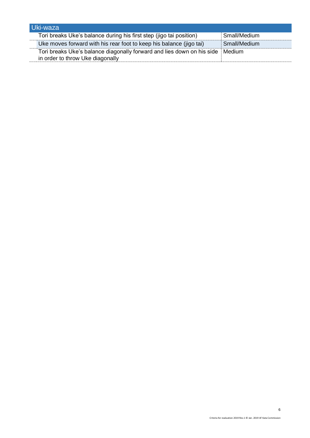| Uki-waza                                                               |              |
|------------------------------------------------------------------------|--------------|
| Tori breaks Uke's balance during his first step (jigo tai position)    | Small/Medium |
| Uke moves forward with his rear foot to keep his balance (jigo tai)    | Small/Medium |
| Tori breaks Uke's balance diagonally forward and lies down on his side | Medium       |
| in order to throw Uke diagonally                                       |              |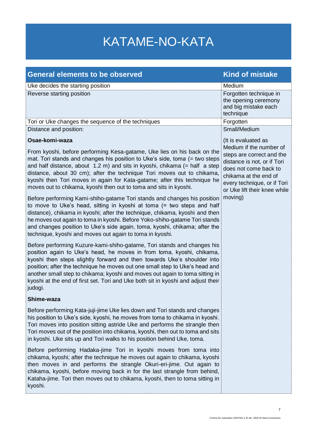# KATAME-NO-KATA

| <b>General elements to be observed</b>                                                                                                                                                                                                                                                                                                                                                                                                                                                                                                                                                                               | <b>Kind of mistake</b>                                                                                                                                                               |
|----------------------------------------------------------------------------------------------------------------------------------------------------------------------------------------------------------------------------------------------------------------------------------------------------------------------------------------------------------------------------------------------------------------------------------------------------------------------------------------------------------------------------------------------------------------------------------------------------------------------|--------------------------------------------------------------------------------------------------------------------------------------------------------------------------------------|
| Uke decides the starting position                                                                                                                                                                                                                                                                                                                                                                                                                                                                                                                                                                                    | Medium                                                                                                                                                                               |
| Reverse starting position                                                                                                                                                                                                                                                                                                                                                                                                                                                                                                                                                                                            | Forgotten technique in<br>the opening ceremony<br>and big mistake each<br>technique                                                                                                  |
| Tori or Uke changes the sequence of the techniques                                                                                                                                                                                                                                                                                                                                                                                                                                                                                                                                                                   | Forgotten                                                                                                                                                                            |
| Distance and position:                                                                                                                                                                                                                                                                                                                                                                                                                                                                                                                                                                                               | Small/Medium                                                                                                                                                                         |
| Osae-komi-waza                                                                                                                                                                                                                                                                                                                                                                                                                                                                                                                                                                                                       | (It is evaluated as<br>Medium if the number of                                                                                                                                       |
| From kyoshi, before performing Kesa-gatame, Uke lies on his back on the<br>mat. Tori stands and changes his position to Uke's side, toma (= two steps<br>and half distance, about 1.2 m) and sits in kyoshi, chikama (= half a step<br>distance, about 30 cm); after the technique Tori moves out to chikama,<br>kyoshi then Tori moves in again for Kata-gatame; after this technique he<br>moves out to chikama, kyoshi then out to toma and sits in kyoshi.<br>Before performing Kami-shiho-gatame Tori stands and changes his position<br>to move to Uke's head, sitting in kyoshi at toma (= two steps and half | steps are correct and the<br>distance is not, or if Tori<br>does not come back to<br>chikama at the end of<br>every technique, or if Tori<br>or Uke lift their knee while<br>moving) |
| distance), chikama in kyoshi; after the technique, chikama, kyoshi and then<br>he moves out again to toma in kyoshi. Before Yoko-shiho-gatame Tori stands<br>and changes position to Uke's side again, toma, kyoshi, chikama; after the<br>technique, kyoshi and moves out again to toma in kyoshi.                                                                                                                                                                                                                                                                                                                  |                                                                                                                                                                                      |
| Before performing Kuzure-kami-shiho-gatame, Tori stands and changes his<br>position again to Uke's head, he moves in from toma, kyoshi, chikama,<br>kyoshi then steps slightly forward and then towards Uke's shoulder into<br>position; after the technique he moves out one small step to Uke's head and<br>another small step to chikama; kyoshi and moves out again to toma sitting in<br>kyoshi at the end of first set. Tori and Uke both sit in kyoshi and adjust their<br>judogi.                                                                                                                            |                                                                                                                                                                                      |
| Shime-waza                                                                                                                                                                                                                                                                                                                                                                                                                                                                                                                                                                                                           |                                                                                                                                                                                      |
| Before performing Kata-juji-jime Uke lies down and Tori stands and changes<br>his position to Uke's side, kyoshi, he moves from toma to chikama in kyoshi.<br>Tori moves into position sitting astride Uke and performs the strangle then<br>Tori moves out of the position into chikama, kyoshi, then out to toma and sits<br>in kyoshi. Uke sits up and Tori walks to his position behind Uke, toma.                                                                                                                                                                                                               |                                                                                                                                                                                      |
| Before performing Hadaka-jime Tori in kyoshi moves from toma into<br>chikama, kyoshi; after the technique he moves out again to chikama, kyoshi<br>then moves in and performs the strangle Okuri-eri-jime. Out again to<br>chikama, kyoshi, before moving back in for the last strangle from behind,<br>Kataha-jime. Tori then moves out to chikama, kyoshi, then to toma sitting in<br>kyoshi.                                                                                                                                                                                                                      |                                                                                                                                                                                      |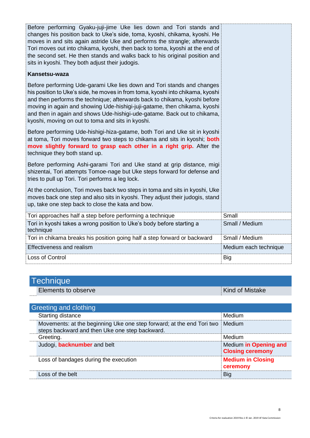| Before performing Gyaku-juji-jime Uke lies down and Tori stands and<br>changes his position back to Uke's side, toma, kyoshi, chikama, kyoshi. He<br>moves in and sits again astride Uke and performs the strangle; afterwards<br>Tori moves out into chikama, kyoshi, then back to toma, kyoshi at the end of<br>the second set. He then stands and walks back to his original position and<br>sits in kyoshi. They both adjust their judogis.<br>Kansetsu-waza<br>Before performing Ude-garami Uke lies down and Tori stands and changes<br>his position to Uke's side, he moves in from toma, kyoshi into chikama, kyoshi<br>and then performs the technique; afterwards back to chikama, kyoshi before<br>moving in again and showing Ude-hishigi-juji-gatame, then chikama, kyoshi<br>and then in again and shows Ude-hishigi-ude-gatame. Back out to chikama,<br>kyoshi, moving on out to toma and sits in kyoshi.<br>Before performing Ude-hishigi-hiza-gatame, both Tori and Uke sit in kyoshi<br>at toma, Tori moves forward two steps to chikama and sits in kyoshi; both<br>move slightly forward to grasp each other in a right grip. After the<br>technique they both stand up.<br>Before performing Ashi-garami Tori and Uke stand at grip distance, migi<br>shizentai, Tori attempts Tomoe-nage but Uke steps forward for defense and<br>tries to pull up Tori. Tori performs a leg lock.<br>At the conclusion, Tori moves back two steps in toma and sits in kyoshi, Uke<br>moves back one step and also sits in kyoshi. They adjust their judogis, stand<br>up, take one step back to close the kata and bow. |                       |
|--------------------------------------------------------------------------------------------------------------------------------------------------------------------------------------------------------------------------------------------------------------------------------------------------------------------------------------------------------------------------------------------------------------------------------------------------------------------------------------------------------------------------------------------------------------------------------------------------------------------------------------------------------------------------------------------------------------------------------------------------------------------------------------------------------------------------------------------------------------------------------------------------------------------------------------------------------------------------------------------------------------------------------------------------------------------------------------------------------------------------------------------------------------------------------------------------------------------------------------------------------------------------------------------------------------------------------------------------------------------------------------------------------------------------------------------------------------------------------------------------------------------------------------------------------------------------------------------------------------------------------|-----------------------|
| Tori approaches half a step before performing a technique                                                                                                                                                                                                                                                                                                                                                                                                                                                                                                                                                                                                                                                                                                                                                                                                                                                                                                                                                                                                                                                                                                                                                                                                                                                                                                                                                                                                                                                                                                                                                                      | Small                 |
| Tori in kyoshi takes a wrong position to Uke's body before starting a<br>technique                                                                                                                                                                                                                                                                                                                                                                                                                                                                                                                                                                                                                                                                                                                                                                                                                                                                                                                                                                                                                                                                                                                                                                                                                                                                                                                                                                                                                                                                                                                                             | Small / Medium        |
| Tori in chikama breaks his position going half a step forward or backward                                                                                                                                                                                                                                                                                                                                                                                                                                                                                                                                                                                                                                                                                                                                                                                                                                                                                                                                                                                                                                                                                                                                                                                                                                                                                                                                                                                                                                                                                                                                                      | Small / Medium        |
| <b>Effectiveness and realism</b>                                                                                                                                                                                                                                                                                                                                                                                                                                                                                                                                                                                                                                                                                                                                                                                                                                                                                                                                                                                                                                                                                                                                                                                                                                                                                                                                                                                                                                                                                                                                                                                               | Medium each technique |
| Loss of Control                                                                                                                                                                                                                                                                                                                                                                                                                                                                                                                                                                                                                                                                                                                                                                                                                                                                                                                                                                                                                                                                                                                                                                                                                                                                                                                                                                                                                                                                                                                                                                                                                | Big                   |

| Technique           |                        |
|---------------------|------------------------|
| Elements to observe | <b>Kind of Mistake</b> |

| Greeting and clothing                                                                                                   |                                                  |
|-------------------------------------------------------------------------------------------------------------------------|--------------------------------------------------|
| Starting distance                                                                                                       | Medium                                           |
| Movements: at the beginning Uke one step forward; at the end Tori two<br>steps backward and then Uke one step backward. | Medium                                           |
| Greeting.                                                                                                               | Medium                                           |
| Judogi, <b>backnumber</b> and belt                                                                                      | Medium in Opening and<br><b>Closing ceremony</b> |
| Loss of bandages during the execution                                                                                   | <b>Medium in Closing</b><br>ceremony             |
| Loss of the belt                                                                                                        | <b>Big</b>                                       |
|                                                                                                                         |                                                  |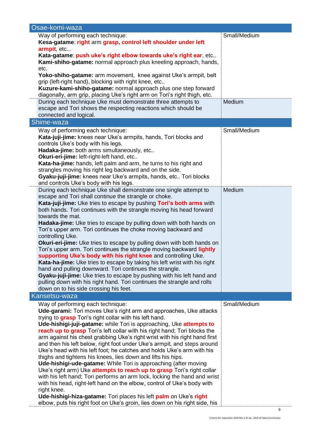| Osae-komi-waza                                                                                                                               |              |
|----------------------------------------------------------------------------------------------------------------------------------------------|--------------|
| Way of performing each technique:<br>Kesa-gatame: right arm grasp, control left shoulder under left                                          | Small/Medium |
| armpit, etc<br>Kata-gatame: push uke's right elbow towards uke's right ear, etc                                                              |              |
| Kami-shiho-gatame: normal approach plus kneeling approach, hands,<br>etc.                                                                    |              |
| Yoko-shiho-gatame: arm movement, knee against Uke's armpit, belt                                                                             |              |
| grip (left-right hand), blocking with right knee, etc                                                                                        |              |
| Kuzure-kami-shiho-gatame: normal approach plus one step forward                                                                              |              |
| diagonally, arm grip, placing Uke's right arm on Tori's right thigh, etc.                                                                    |              |
| During each technique Uke must demonstrate three attempts to<br>escape and Tori shows the respecting reactions which should be               | Medium       |
| connected and logical.                                                                                                                       |              |
| Shime-waza                                                                                                                                   |              |
| Way of performing each technique:                                                                                                            | Small/Medium |
| Kata-juji-jime: knees near Uke's armpits, hands, Tori blocks and                                                                             |              |
| controls Uke's body with his legs.                                                                                                           |              |
| Hadaka-jime: both arms simultaneously, etc                                                                                                   |              |
| Okuri-eri-jime: left-right-left hand, etc<br>Kata-ha-jime: hands, left palm and arm, he turns to his right and                               |              |
| strangles moving his right leg backward and on the side.                                                                                     |              |
| Gyaku-juji-jime: knees near Uke's armpits, hands, etc Tori blocks                                                                            |              |
| and controls Uke's body with his legs.                                                                                                       |              |
| During each technique Uke shall demonstrate one single attempt to                                                                            | Medium       |
| escape and Tori shall continue the strangle or choke.                                                                                        |              |
| Kata-juji-jime: Uke tries to escape by pushing Tori's both arms with<br>both hands. Tori continues with the strangle moving his head forward |              |
| towards the mat.                                                                                                                             |              |
| Hadaka-jime: Uke tries to escape by pulling down with both hands on                                                                          |              |
| Tori's upper arm. Tori continues the choke moving backward and                                                                               |              |
| controlling Uke.                                                                                                                             |              |
| <b>Okuri-eri-jime:</b> Uke tries to escape by pulling down with both hands on                                                                |              |
| Tori's upper arm. Tori continues the strangle moving backward lightly<br>supporting Uke's body with his right knee and controlling Uke.      |              |
| Kata-ha-jime: Uke tries to escape by taking his left wrist with his right                                                                    |              |
| hand and pulling downward. Tori continues the strangle.                                                                                      |              |
| Gyaku-juji-jime: Uke tries to escape by pushing with his left hand and                                                                       |              |
| pulling down with his right hand. Tori continues the strangle and rolls                                                                      |              |
| down on to his side crossing his feet.                                                                                                       |              |
| Kansetsu-waza                                                                                                                                |              |
| Way of performing each technique:<br>Ude-garami: Tori moves Uke's right arm and approaches, Uke attacks                                      | Small/Medium |
| trying to grasp Tori's right collar with his left hand.                                                                                      |              |
| Ude-hishigi-juji-gatame: while Tori is approaching, Uke attempts to                                                                          |              |
| reach up to grasp Tori's left collar with his right hand; Tori blocks the                                                                    |              |
| arm against his chest grabbing Uke's right wrist with his right hand first                                                                   |              |
| and then his left below, right foot under Uke's armpit, and steps around                                                                     |              |
| Uke's head with his left foot; he catches and holds Uke's arm with his<br>thighs and tightens his knees, lies down and lifts his hips.       |              |
| Ude-hishigi-ude-gatame: While Tori is approaching (after moving                                                                              |              |
| Uke's right arm) Uke attempts to reach up to grasp Tori's right collar                                                                       |              |
| with his left hand; Tori performs an arm lock, locking the hand and wrist                                                                    |              |
| with his head, right-left hand on the elbow, control of Uke's body with                                                                      |              |
| right knee.<br>Ude-hishigi-hiza-gatame: Tori places his left palm on Uke's right                                                             |              |
| elbow, puts his right foot on Uke's groin, lies down on his right side, his                                                                  |              |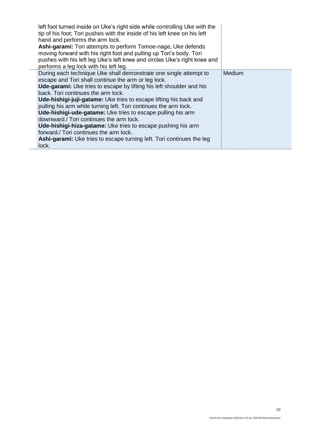| left foot turned inside on Uke's right side while controlling Uke with the<br>tip of his foot; Tori pushes with the inside of his left knee on his left<br>hand and performs the arm lock.<br>Ashi-garami: Tori attempts to perform Tomoe-nage, Uke defends<br>moving forward with his right foot and pulling up Tori's body. Tori<br>pushes with his left leg Uke's left knee and circles Uke's right knee and<br>performs a leg lock with his left leg.                                                                                                                                                                                                                                           |        |
|-----------------------------------------------------------------------------------------------------------------------------------------------------------------------------------------------------------------------------------------------------------------------------------------------------------------------------------------------------------------------------------------------------------------------------------------------------------------------------------------------------------------------------------------------------------------------------------------------------------------------------------------------------------------------------------------------------|--------|
| During each technique Uke shall demonstrate one single attempt to<br>escape and Tori shall continue the arm or leg lock.<br><b>Ude-garami:</b> Uke tries to escape by lifting his left shoulder and his<br>back. Tori continues the arm lock.<br>Ude-hishigi-juji-gatame: Uke tries to escape lifting his back and<br>pulling his arm while turning left. Tori continues the arm lock.<br>Ude-hishigi-ude-gatame: Uke tries to escape pulling his arm<br>downward./ Tori continues the arm lock.<br>Ude-hishigi-hiza-gatame: Uke tries to escape pushing his arm<br>forward./ Tori continues the arm lock.<br><b>Ashi-garami:</b> Uke tries to escape turning left. Tori continues the leg<br>lock. | Medium |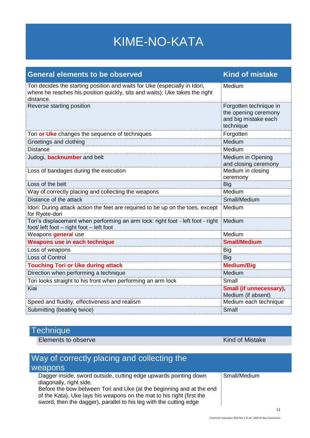# KIME-NO-KATA

| <b>General elements to be observed</b>                                                                                                                                 | <b>Kind of mistake</b>                                                              |
|------------------------------------------------------------------------------------------------------------------------------------------------------------------------|-------------------------------------------------------------------------------------|
| Tori decides the starting position and waits for Uke (especially in Idori,<br>where he reaches his position quickly, sits and waits); Uke takes the right<br>distance. | Medium                                                                              |
| Reverse starting position                                                                                                                                              | Forgotten technique in<br>the opening ceremony<br>and big mistake each<br>technique |
| Tori or Uke changes the sequence of techniques                                                                                                                         | Forgotten                                                                           |
| Greetings and clothing                                                                                                                                                 | Medium                                                                              |
| <b>Distance</b>                                                                                                                                                        | Medium                                                                              |
| Judogi, <b>backnumber</b> and belt                                                                                                                                     | Medium in Opening<br>and closing ceremony                                           |
| Loss of bandages during the execution                                                                                                                                  | Medium in closing<br>ceremony                                                       |
| Loss of the belt                                                                                                                                                       | <b>Big</b>                                                                          |
| Way of correctly placing and collecting the weapons                                                                                                                    | Medium                                                                              |
| Distance of the attack                                                                                                                                                 | Small/Medium                                                                        |
| Idori: During attack action the feet are required to be up on the toes, except<br>for Ryote-dori                                                                       | Medium                                                                              |
| Tori's displacement when performing an arm lock: right foot - left foot - right<br>foot/ left foot - right foot - left foot                                            | Medium                                                                              |
| Weapons <b>general</b> use                                                                                                                                             | Medium                                                                              |
| Weapons use in each technique                                                                                                                                          | <b>Small/Medium</b>                                                                 |
| Loss of weapons                                                                                                                                                        | Big                                                                                 |
| Loss of Control                                                                                                                                                        | <b>Big</b>                                                                          |
| <b>Touching Tori or Uke during attack</b>                                                                                                                              | <b>Medium/Big</b>                                                                   |
| Direction when performing a technique                                                                                                                                  | Medium                                                                              |
| Tori looks straight to his front when performing an arm lock                                                                                                           | Small                                                                               |
| Kiai                                                                                                                                                                   | Small (if unnecessary),<br>Medium (if absent)                                       |
| Speed and fluidity, effectiveness and realism                                                                                                                          | Medium each technique                                                               |
| Submitting (beating twice)                                                                                                                                             | Small                                                                               |

### **Technique**

Elements to observe Kind of Mistake

| Way of correctly placing and collecting the<br><b>Weapons</b>                                                                                                                                                       |              |
|---------------------------------------------------------------------------------------------------------------------------------------------------------------------------------------------------------------------|--------------|
| Dagger inside, sword outside, cutting edge upwards pointing down<br>diagonally, right side.                                                                                                                         | Small/Medium |
| Before the bow between Tori and Uke (at the beginning and at the end<br>of the Kata), Uke lays his weapons on the mat to his right (first the<br>sword, then the dagger), parallel to his leg with the cutting edge |              |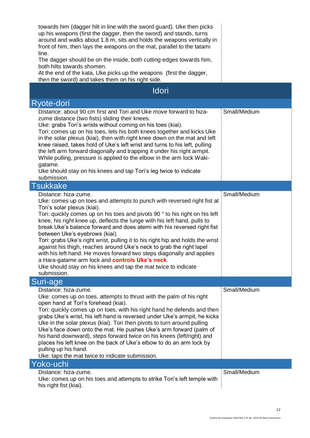| towards him (dagger hilt in line with the sword guard). Uke then picks<br>up his weapons (first the dagger, then the sword) and stands, turns<br>around and walks about 1.8 m, sits and holds the weapons vertically in<br>front of him, then lays the weapons on the mat, parallel to the tatami<br>line.<br>The dagger should be on the inside, both cutting edges towards him,<br>both hilts towards shomen.<br>At the end of the kata, Uke picks up the weapons (first the dagger,<br>then the sword) and takes them on his right side.                                                                                                                                                                                                                                   |              |
|-------------------------------------------------------------------------------------------------------------------------------------------------------------------------------------------------------------------------------------------------------------------------------------------------------------------------------------------------------------------------------------------------------------------------------------------------------------------------------------------------------------------------------------------------------------------------------------------------------------------------------------------------------------------------------------------------------------------------------------------------------------------------------|--------------|
| <b>Idori</b>                                                                                                                                                                                                                                                                                                                                                                                                                                                                                                                                                                                                                                                                                                                                                                  |              |
| Ryote-dori                                                                                                                                                                                                                                                                                                                                                                                                                                                                                                                                                                                                                                                                                                                                                                    |              |
| Distance: about 90 cm first and Tori and Uke move forward to hiza-<br>zume distance (two fists) sliding their knees.<br>Uke: grabs Tori's wrists without coming on his toes (kiai).<br>Tori: comes up on his toes, lets his both knees together and kicks Uke<br>in the solar plexus (kiai), then with right knee down on the mat and left<br>knee raised, takes hold of Uke's left wrist and turns to his left, pulling<br>the left arm forward diagonally and trapping it under his right armpit.<br>While pulling, pressure is applied to the elbow in the arm lock Waki-<br>gatame.<br>Uke should stay on his knees and tap Tori's leg twice to indicate<br>submission.                                                                                                   | Small/Medium |
| <b>Tsukkake</b>                                                                                                                                                                                                                                                                                                                                                                                                                                                                                                                                                                                                                                                                                                                                                               |              |
| Distance: hiza-zume.<br>Uke: comes up on toes and attempts to punch with reversed right fist at<br>Tori's solar plexus (kiai).<br>Tori: quickly comes up on his toes and pivots 90 ° to his right on his left<br>knee, his right knee up, deflects the lunge with his left hand, pulls to<br>break Uke's balance forward and does atemi with his reversed right fist<br>between Uke's eyebrows (kiai).<br>Tori: grabs Uke's right wrist, pulling it to his right hip and holds the wrist<br>against his thigh, reaches around Uke's neck to grab the right lapel<br>with his left hand. He moves forward two steps diagonally and applies<br>a Hara-gatame arm lock and controls Uke's neck.<br>Uke should stay on his knees and tap the mat twice to indicate<br>submission. | Small/Medium |
| Suri-age                                                                                                                                                                                                                                                                                                                                                                                                                                                                                                                                                                                                                                                                                                                                                                      |              |
| Distance: hiza-zume.<br>Uke: comes up on toes, attempts to thrust with the palm of his right<br>open hand at Tori's forehead (kiai).<br>Tori: quickly comes up on toes, with his right hand he defends and then<br>grabs Uke's wrist, his left hand is reversed under Uke's armpit, he kicks<br>Uke in the solar plexus (kiai). Tori then pivots to turn around pulling<br>Uke's face down onto the mat. He pushes Uke's arm forward (palm of<br>his hand downward), steps forward twice on his knees (left/right) and<br>places his left knee on the back of Uke's elbow to do an arm lock by<br>pulling up his hand.<br>Uke: taps the mat twice to indicate submission.                                                                                                     | Small/Medium |
| Yoko-uchi                                                                                                                                                                                                                                                                                                                                                                                                                                                                                                                                                                                                                                                                                                                                                                     |              |
| Distance: hiza-zume.<br>Uke: comes up on his toes and attempts to strike Tori's left temple with<br>his right fist (kiai).                                                                                                                                                                                                                                                                                                                                                                                                                                                                                                                                                                                                                                                    | Small/Medium |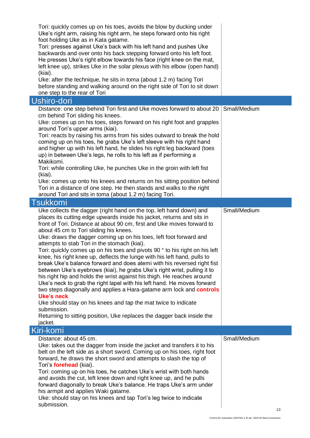| Uke's right arm, raising his right arm, he steps forward onto his right<br>foot holding Uke as in Kata gatame.<br>Tori: presses against Uke's back with his left hand and pushes Uke<br>backwards and over onto his back stepping forward onto his left foot.<br>He presses Uke's right elbow towards his face (right knee on the mat,<br>left knee up), strikes Uke in the solar plexus with his elbow (open hand)<br>(kiai).<br>Uke: after the technique, he sits in toma (about 1.2 m) facing Tori<br>before standing and walking around on the right side of Tori to sit down<br>one step to the rear of Tori                                                                                                                                                                                                                                    |              |
|------------------------------------------------------------------------------------------------------------------------------------------------------------------------------------------------------------------------------------------------------------------------------------------------------------------------------------------------------------------------------------------------------------------------------------------------------------------------------------------------------------------------------------------------------------------------------------------------------------------------------------------------------------------------------------------------------------------------------------------------------------------------------------------------------------------------------------------------------|--------------|
| Ushiro-dori                                                                                                                                                                                                                                                                                                                                                                                                                                                                                                                                                                                                                                                                                                                                                                                                                                          |              |
| Distance: one step behind Tori first and Uke moves forward to about 20<br>cm behind Tori sliding his knees.<br>Uke: comes up on his toes, steps forward on his right foot and grapples<br>around Tori's upper arms (kiai).<br>Tori: reacts by raising his arms from his sides outward to break the hold<br>coming up on his toes, he grabs Uke's left sleeve with his right hand<br>and higher up with his left hand, he slides his right leg backward (toes<br>up) in between Uke's legs, he rolls to his left as if performing a<br>Makikomi.<br>Tori: while controlling Uke, he punches Uke in the groin with left fist<br>(kiai).<br>Uke: comes up onto his knees and returns on his sitting position behind<br>Tori in a distance of one step. He then stands and walks to the right<br>around Tori and sits in toma (about 1.2 m) facing Tori. | Small/Medium |
| <b>Tsukkomi</b>                                                                                                                                                                                                                                                                                                                                                                                                                                                                                                                                                                                                                                                                                                                                                                                                                                      |              |
| Uke collects the dagger (right hand on the top, left hand down) and<br>places its cutting edge upwards inside his jacket, returns and sits in<br>front of Tori. Distance at about 90 cm, first and Uke moves forward to<br>about 45 cm to Tori sliding his knees.<br>Uke: draws the dagger coming up on his toes, left foot forward and<br>attempts to stab Tori in the stomach (kiai).<br>Tori: quickly comes up on his toes and pivots 90 ° to his right on his left<br>knee, his right knee up, deflects the lunge with his left hand, pulls to                                                                                                                                                                                                                                                                                                   | Small/Medium |
| break Uke's balance forward and does atemi with his reversed right fist<br>between Uke's eyebrows (kiai), he grabs Uke's right wrist, pulling it to<br>his right hip and holds the wrist against his thigh. He reaches around<br>Uke's neck to grab the right lapel with his left hand. He moves forward<br>two steps diagonally and applies a Hara-gatame arm lock and <b>controls</b><br>Uke's neck.<br>Uke should stay on his knees and tap the mat twice to indicate<br>submission.<br>Returning to sitting position, Uke replaces the dagger back inside the<br>jacket.                                                                                                                                                                                                                                                                         |              |
| Kiri-komi<br>Distance: about 45 cm.                                                                                                                                                                                                                                                                                                                                                                                                                                                                                                                                                                                                                                                                                                                                                                                                                  | Small/Medium |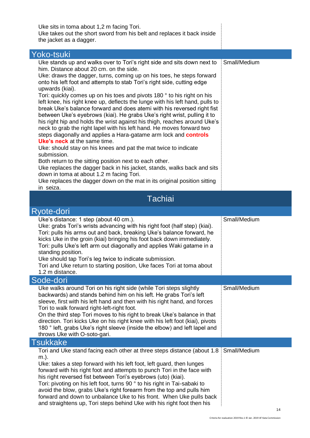| Uke sits in toma about 1,2 m facing Tori.<br>Uke takes out the short sword from his belt and replaces it back inside<br>the jacket as a dagger.                                                                                                                                                                                                                                                                                                                                                                                                                                                                                                                                                                                                                                                                                                                                                                                                                                                                                                                                                                                                                                                                                                   |              |
|---------------------------------------------------------------------------------------------------------------------------------------------------------------------------------------------------------------------------------------------------------------------------------------------------------------------------------------------------------------------------------------------------------------------------------------------------------------------------------------------------------------------------------------------------------------------------------------------------------------------------------------------------------------------------------------------------------------------------------------------------------------------------------------------------------------------------------------------------------------------------------------------------------------------------------------------------------------------------------------------------------------------------------------------------------------------------------------------------------------------------------------------------------------------------------------------------------------------------------------------------|--------------|
| Yoko-tsuki                                                                                                                                                                                                                                                                                                                                                                                                                                                                                                                                                                                                                                                                                                                                                                                                                                                                                                                                                                                                                                                                                                                                                                                                                                        |              |
| Uke stands up and walks over to Tori's right side and sits down next to<br>him. Distance about 20 cm. on the side.<br>Uke: draws the dagger, turns, coming up on his toes, he steps forward<br>onto his left foot and attempts to stab Tori's right side, cutting edge<br>upwards (kiai).<br>Tori: quickly comes up on his toes and pivots 180 ° to his right on his<br>left knee, his right knee up, deflects the lunge with his left hand, pulls to<br>break Uke's balance forward and does atemi with his reversed right fist<br>between Uke's eyebrows (kiai). He grabs Uke's right wrist, pulling it to<br>his right hip and holds the wrist against his thigh, reaches around Uke's<br>neck to grab the right lapel with his left hand. He moves forward two<br>steps diagonally and applies a Hara-gatame arm lock and <b>controls</b><br><b>Uke's neck</b> at the same time.<br>Uke: should stay on his knees and pat the mat twice to indicate<br>submission.<br>Both return to the sitting position next to each other.<br>Uke replaces the dagger back in his jacket, stands, walks back and sits<br>down in toma at about 1.2 m facing Tori.<br>Uke replaces the dagger down on the mat in its original position sitting<br>in seiza. | Small/Medium |
| <b>Tachiai</b>                                                                                                                                                                                                                                                                                                                                                                                                                                                                                                                                                                                                                                                                                                                                                                                                                                                                                                                                                                                                                                                                                                                                                                                                                                    |              |
| Ryote-dori                                                                                                                                                                                                                                                                                                                                                                                                                                                                                                                                                                                                                                                                                                                                                                                                                                                                                                                                                                                                                                                                                                                                                                                                                                        |              |
| Uke's distance: 1 step (about 40 cm.).<br>Uke: grabs Tori's wrists advancing with his right foot (half step) (kiai).<br>Tori: pulls his arms out and back, breaking Uke's balance forward, he<br>kicks Uke in the groin (kiai) bringing his foot back down immediately.<br>Tori: pulls Uke's left arm out diagonally and applies Waki gatame in a<br>standing position.<br>Uke should tap Tori's leg twice to indicate submission.<br>Tori and Uke return to starting position, Uke faces Tori at toma about<br>1.2 m distance.                                                                                                                                                                                                                                                                                                                                                                                                                                                                                                                                                                                                                                                                                                                   | Small/Medium |
| Sode-dori                                                                                                                                                                                                                                                                                                                                                                                                                                                                                                                                                                                                                                                                                                                                                                                                                                                                                                                                                                                                                                                                                                                                                                                                                                         |              |
| Uke walks around Tori on his right side (while Tori steps slightly<br>backwards) and stands behind him on his left. He grabs Tori's left<br>sleeve, first with his left hand and then with his right hand, and forces<br>Tori to walk forward right-left-right foot.<br>On the third step Tori moves to his right to break Uke's balance in that<br>direction. Tori kicks Uke on his right knee with his left foot (kiai), pivots<br>180 ° left, grabs Uke's right sleeve (inside the elbow) and left lapel and<br>throws Uke with O-soto-gari.                                                                                                                                                                                                                                                                                                                                                                                                                                                                                                                                                                                                                                                                                                   | Small/Medium |
| <b>Tsukkake</b>                                                                                                                                                                                                                                                                                                                                                                                                                                                                                                                                                                                                                                                                                                                                                                                                                                                                                                                                                                                                                                                                                                                                                                                                                                   |              |
| Tori and Uke stand facing each other at three steps distance (about 1.8<br>m.).<br>Uke: takes a step forward with his left foot, left guard, then lunges<br>forward with his right foot and attempts to punch Tori in the face with<br>his right reversed fist between Tori's eyebrows (uto) (kiai).<br>Tori: pivoting on his left foot, turns 90° to his right in Tai-sabaki to                                                                                                                                                                                                                                                                                                                                                                                                                                                                                                                                                                                                                                                                                                                                                                                                                                                                  | Small/Medium |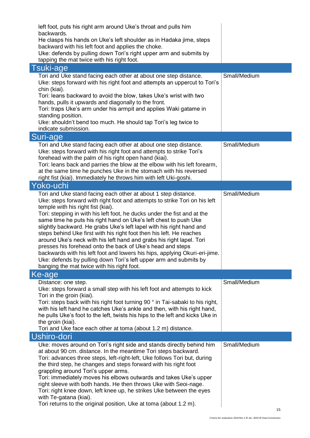| left foot, puts his right arm around Uke's throat and pulls him                                                                               |              |
|-----------------------------------------------------------------------------------------------------------------------------------------------|--------------|
| backwards.<br>He clasps his hands on Uke's left shoulder as in Hadaka jime, steps                                                             |              |
| backward with his left foot and applies the choke.                                                                                            |              |
| Uke: defends by pulling down Tori's right upper arm and submits by                                                                            |              |
| tapping the mat twice with his right foot.                                                                                                    |              |
| <b>Tsuki-age</b>                                                                                                                              | Small/Medium |
| Tori and Uke stand facing each other at about one step distance.<br>Uke: steps forward with his right foot and attempts an uppercut to Tori's |              |
| chin (kiai).                                                                                                                                  |              |
| Tori: leans backward to avoid the blow, takes Uke's wrist with two                                                                            |              |
| hands, pulls it upwards and diagonally to the front.                                                                                          |              |
| Tori: traps Uke's arm under his armpit and applies Waki gatame in<br>standing position.                                                       |              |
| Uke: shouldn't bend too much. He should tap Tori's leg twice to                                                                               |              |
| indicate submission.                                                                                                                          |              |
| Suri-age                                                                                                                                      |              |
| Tori and Uke stand facing each other at about one step distance.                                                                              | Small/Medium |
| Uke: steps forward with his right foot and attempts to strike Tori's                                                                          |              |
| forehead with the palm of his right open hand (kiai).<br>Tori: leans back and parries the blow at the elbow with his left forearm,            |              |
| at the same time he punches Uke in the stomach with his reversed                                                                              |              |
| right fist (kiai). Immediately he throws him with left Uki-goshi.                                                                             |              |
| Yoko-uchi                                                                                                                                     |              |
| Tori and Uke stand facing each other at about 1 step distance.                                                                                | Small/Medium |
| Uke: steps forward with right foot and attempts to strike Tori on his left                                                                    |              |
| temple with his right fist (kiai).<br>Tori: stepping in with his left foot, he ducks under the fist and at the                                |              |
| same time he puts his right hand on Uke's left chest to push Uke                                                                              |              |
| slightly backward. He grabs Uke's left lapel with his right hand and                                                                          |              |
| steps behind Uke first with his right foot then his left. He reaches                                                                          |              |
| around Uke's neck with his left hand and grabs his right lapel. Tori<br>presses his forehead onto the back of Uke's head and steps            |              |
| backwards with his left foot and lowers his hips, applying Okuri-eri-jime.                                                                    |              |
| Uke: defends by pulling down Tori's left upper arm and submits by                                                                             |              |
| banging the mat twice with his right foot.                                                                                                    |              |
| Ke-age                                                                                                                                        |              |
| Distance: one step.                                                                                                                           | Small/Medium |
| Uke: steps forward a small step with his left foot and attempts to kick<br>Tori in the groin (kiai).                                          |              |
| Tori: steps back with his right foot turning 90 ° in Tai-sabaki to his right,                                                                 |              |
| with his left hand he catches Uke's ankle and then, with his right hand,                                                                      |              |
| he pulls Uke's foot to the left, twists his hips to the left and kicks Uke in                                                                 |              |
| the groin (kiai).                                                                                                                             |              |
| Tori and Uke face each other at toma (about 1.2 m) distance.                                                                                  |              |
| Ushiro-dori                                                                                                                                   | Small/Medium |
| Uke: moves around on Tori's right side and stands directly behind him<br>at about 90 cm. distance. In the meantime Tori steps backward.       |              |
| Tori: advances three steps, left-right-left, Uke follows Tori but, during                                                                     |              |
| the third step, he changes and steps forward with his right foot                                                                              |              |
| grappling around Tori's upper arms.                                                                                                           |              |
| Tori: immediately moves his elbows outwards and takes Uke's upper<br>right sleeve with both hands. He then throws Uke with Seoi-nage.         |              |
| Tori: right knee down, left knee up, he strikes Uke between the eyes                                                                          |              |
| with Te-gatana (kiai).                                                                                                                        |              |
| Tori returns to the original position, Uke at toma (about 1.2 m).                                                                             |              |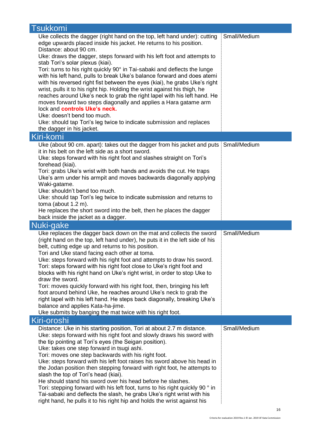| <b>Tsukkomi</b>                                                                                                                                                                                                                                                                                                                                                                                                                                                                                                                                                                                                                                                                                                                                                                                                                                                                                                                  |              |
|----------------------------------------------------------------------------------------------------------------------------------------------------------------------------------------------------------------------------------------------------------------------------------------------------------------------------------------------------------------------------------------------------------------------------------------------------------------------------------------------------------------------------------------------------------------------------------------------------------------------------------------------------------------------------------------------------------------------------------------------------------------------------------------------------------------------------------------------------------------------------------------------------------------------------------|--------------|
| Uke collects the dagger (right hand on the top, left hand under): cutting<br>edge upwards placed inside his jacket. He returns to his position.<br>Distance: about 90 cm.<br>Uke: draws the dagger, steps forward with his left foot and attempts to<br>stab Tori's solar plexus (kiai).<br>Tori: turns to his right quickly 90° in Tai-sabaki and deflects the lunge<br>with his left hand, pulls to break Uke's balance forward and does atemi<br>with his reversed right fist between the eyes (kiai), he grabs Uke's right<br>wrist, pulls it to his right hip. Holding the wrist against his thigh, he<br>reaches around Uke's neck to grab the right lapel with his left hand. He<br>moves forward two steps diagonally and applies a Hara gatame arm<br>lock and controls Uke's neck.<br>Uke: doesn't bend too much.<br>Uke: should tap Tori's leg twice to indicate submission and replaces<br>the dagger in his jacket. | Small/Medium |
| Kiri-komi                                                                                                                                                                                                                                                                                                                                                                                                                                                                                                                                                                                                                                                                                                                                                                                                                                                                                                                        |              |
| Uke (about 90 cm. apart): takes out the dagger from his jacket and puts<br>it in his belt on the left side as a short sword.<br>Uke: steps forward with his right foot and slashes straight on Tori's<br>forehead (kiai).<br>Tori: grabs Uke's wrist with both hands and avoids the cut. He traps<br>Uke's arm under his armpit and moves backwards diagonally applying<br>Waki-gatame.<br>Uke: shouldn't bend too much.<br>Uke: should tap Tori's leg twice to indicate submission and returns to<br>toma (about $1.2$ m).<br>He replaces the short sword into the belt, then he places the dagger                                                                                                                                                                                                                                                                                                                              | Small/Medium |
|                                                                                                                                                                                                                                                                                                                                                                                                                                                                                                                                                                                                                                                                                                                                                                                                                                                                                                                                  |              |
| back inside the jacket as a dagger.                                                                                                                                                                                                                                                                                                                                                                                                                                                                                                                                                                                                                                                                                                                                                                                                                                                                                              |              |
| Nuki-gake<br>Uke replaces the dagger back down on the mat and collects the sword<br>(right hand on the top, left hand under), he puts it in the left side of his<br>belt, cutting edge up and returns to his position.<br>Tori and Uke stand facing each other at toma.<br>Uke: steps forward with his right foot and attempts to draw his sword.<br>Tori: steps forward with his right foot close to Uke's right foot and<br>blocks with his right hand on Uke's right wrist, in order to stop Uke to<br>draw the sword.<br>Tori: moves quickly forward with his right foot, then, bringing his left<br>foot around behind Uke, he reaches around Uke's neck to grab the<br>right lapel with his left hand. He steps back diagonally, breaking Uke's<br>balance and applies Kata-ha-jime.<br>Uke submits by banging the mat twice with his right foot.                                                                          | Small/Medium |
| Kiri-oroshi<br>Distance: Uke in his starting position, Tori at about 2.7 m distance.                                                                                                                                                                                                                                                                                                                                                                                                                                                                                                                                                                                                                                                                                                                                                                                                                                             | Small/Medium |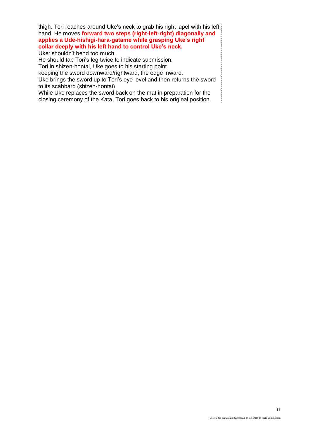thigh. Tori reaches around Uke's neck to grab his right lapel with his left hand. He moves **forward two steps (right-left-right) diagonally and applies a Ude-hishigi-hara-gatame while grasping Uke's right collar deeply with his left hand to control Uke's neck.** 

Uke: shouldn't bend too much.

He should tap Tori's leg twice to indicate submission. Tori in shizen-hontai, Uke goes to his starting point

keeping the sword downward/rightward, the edge inward.

Uke brings the sword up to Tori's eye level and then returns the sword to its scabbard (shizen-hontai)

While Uke replaces the sword back on the mat in preparation for the closing ceremony of the Kata, Tori goes back to his original position.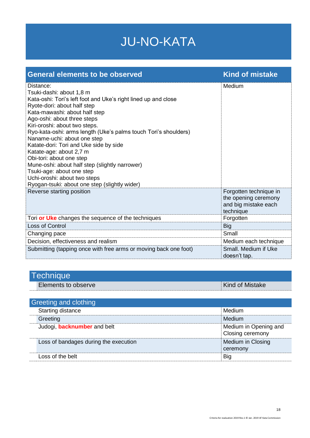### JU-NO-KATA

| <b>General elements to be observed</b>                                                                                                                                                                                                                                                                                                                                                                                                                                                                                                                                                                     | <b>Kind of mistake</b>                                                              |
|------------------------------------------------------------------------------------------------------------------------------------------------------------------------------------------------------------------------------------------------------------------------------------------------------------------------------------------------------------------------------------------------------------------------------------------------------------------------------------------------------------------------------------------------------------------------------------------------------------|-------------------------------------------------------------------------------------|
| Distance:<br>Tsuki-dashi: about 1,8 m<br>Kata-oshi: Tori's left foot and Uke's right lined up and close<br>Ryote-dori: about half step<br>Kata-mawashi: about half step<br>Ago-oshi: about three steps<br>Kiri-oroshi: about two steps.<br>Ryo-kata-oshi: arms length (Uke's palms touch Tori's shoulders)<br>Naname-uchi: about one step<br>Katate-dori: Tori and Uke side by side<br>Katate-age: about 2,7 m<br>Obi-tori: about one step<br>Mune-oshi: about half step (slightly narrower)<br>Tsuki-age: about one step<br>Uchi-oroshi: about two steps<br>Ryogan-tsuki: about one step (slightly wider) | Medium                                                                              |
| Reverse starting position                                                                                                                                                                                                                                                                                                                                                                                                                                                                                                                                                                                  | Forgotten technique in<br>the opening ceremony<br>and big mistake each<br>technique |
| Tori or Uke changes the sequence of the techniques                                                                                                                                                                                                                                                                                                                                                                                                                                                                                                                                                         | Forgotten                                                                           |
| Loss of Control                                                                                                                                                                                                                                                                                                                                                                                                                                                                                                                                                                                            | <b>Big</b>                                                                          |
| Changing pace                                                                                                                                                                                                                                                                                                                                                                                                                                                                                                                                                                                              | Small                                                                               |
| Decision, effectiveness and realism                                                                                                                                                                                                                                                                                                                                                                                                                                                                                                                                                                        | Medium each technique                                                               |
| Submitting (tapping once with free arms or moving back one foot)                                                                                                                                                                                                                                                                                                                                                                                                                                                                                                                                           | Small. Medium if Uke<br>doesn't tap.                                                |

| Technique |                     |                        |
|-----------|---------------------|------------------------|
|           | Elements to observe | <b>Kind of Mistake</b> |

| Greeting and clothing                 |                                           |  |
|---------------------------------------|-------------------------------------------|--|
| Starting distance                     | Medium                                    |  |
| Greeting                              | Medium                                    |  |
| Judogi, <b>backnumber</b> and belt    | Medium in Opening and<br>Closing ceremony |  |
| Loss of bandages during the execution | Medium in Closing<br>ceremony             |  |
| Loss of the belt                      | Big                                       |  |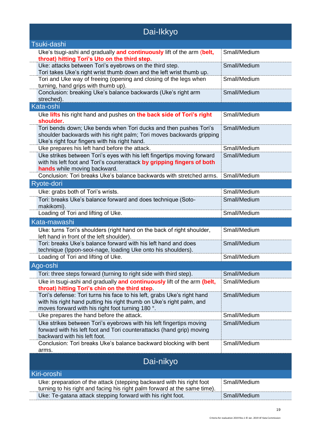| Dai-Ikkyo                                                                                                                                                                                           |              |  |
|-----------------------------------------------------------------------------------------------------------------------------------------------------------------------------------------------------|--------------|--|
| Tsuki-dashi                                                                                                                                                                                         |              |  |
| Uke's tsugi-ashi and gradually and continuously lift of the arm (belt,<br>throat) hitting Tori's Uto on the third step.                                                                             | Small/Medium |  |
| Uke: attacks between Tori's eyebrows on the third step.<br>Tori takes Uke's right wrist thumb down and the left wrist thumb up.                                                                     | Small/Medium |  |
| Tori and Uke way of freeing (opening and closing of the legs when<br>turning, hand grips with thumb up).                                                                                            | Small/Medium |  |
| Conclusion: breaking Uke's balance backwards (Uke's right arm<br>streched).                                                                                                                         | Small/Medium |  |
| Kata-oshi                                                                                                                                                                                           |              |  |
| Uke lifts his right hand and pushes on the back side of Tori's right<br>shoulder.                                                                                                                   | Small/Medium |  |
| Tori bends down; Uke bends when Tori ducks and then pushes Tori's<br>shoulder backwards with his right palm; Tori moves backwards gripping<br>Uke's right four fingers with his right hand.         | Small/Medium |  |
| Uke prepares his left hand before the attack.                                                                                                                                                       | Small/Medium |  |
| Uke strikes between Tori's eyes with his left fingertips moving forward<br>with his left foot and Tori's counterattack by gripping fingers of both<br>hands while moving backward.                  | Small/Medium |  |
| Conclusion: Tori breaks Uke's balance backwards with stretched arms.                                                                                                                                | Small/Medium |  |
| Ryote-dori                                                                                                                                                                                          |              |  |
| Uke: grabs both of Tori's wrists.                                                                                                                                                                   | Small/Medium |  |
| Tori: breaks Uke's balance forward and does technique (Soto-<br>makikomi).                                                                                                                          | Small/Medium |  |
| Loading of Tori and lifting of Uke.                                                                                                                                                                 | Small/Medium |  |
| Kata-mawashi                                                                                                                                                                                        |              |  |
| Uke: turns Tori's shoulders (right hand on the back of right shoulder,<br>left hand in front of the left shoulder).                                                                                 | Small/Medium |  |
| Tori: breaks Uke's balance forward with his left hand and does<br>technique (Ippon-seoi-nage, loading Uke onto his shoulders).                                                                      | Small/Medium |  |
| Loading of Tori and lifting of Uke.                                                                                                                                                                 | Small/Medium |  |
| Ago-oshi                                                                                                                                                                                            |              |  |
| Tori: three steps forward (turning to right side with third step).                                                                                                                                  | Small/Medium |  |
| Uke in tsugi-ashi and gradually and continuously lift of the arm (belt,<br>throat) hitting Tori's chin on the third step.                                                                           | Small/Medium |  |
| Tori's defense: Tori turns his face to his left, grabs Uke's right hand<br>with his right hand putting his right thumb on Uke's right palm, and<br>moves forward with his right foot turning 180 °. | Small/Medium |  |
| Uke prepares the hand before the attack.                                                                                                                                                            | Small/Medium |  |
| Uke strikes between Tori's eyebrows with his left fingertips moving<br>forward with his left foot and Tori counterattacks (hand grip) moving<br>backward with his left foot.                        | Small/Medium |  |
| Conclusion: Tori breaks Uke's balance backward blocking with bent<br>arms.                                                                                                                          | Small/Medium |  |
| Dai-nikyo                                                                                                                                                                                           |              |  |
| Kiri-oroshi                                                                                                                                                                                         |              |  |
| Uke: preparation of the attack (stepping backward with his right foot<br>turning to his right and facing his right palm forward at the same time).                                                  | Small/Medium |  |
| Uke: Te-gatana attack stepping forward with his right foot.                                                                                                                                         | Small/Medium |  |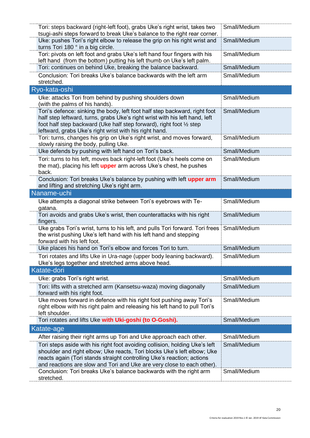| Tori: steps backward (right-left foot), grabs Uke's right wrist, takes two                                                                             | Small/Medium |
|--------------------------------------------------------------------------------------------------------------------------------------------------------|--------------|
|                                                                                                                                                        |              |
| tsugi-ashi steps forward to break Uke's balance to the right rear corner.<br>Uke: pushes Tori's right elbow to release the grip on his right wrist and | Small/Medium |
| turns Tori 180 ° in a big circle.                                                                                                                      |              |
| Tori: pivots on left foot and grabs Uke's left hand four fingers with his                                                                              | Small/Medium |
| left hand (from the bottom) putting his left thumb on Uke's left palm.                                                                                 |              |
| Tori: continues on behind Uke, breaking the balance backward.                                                                                          | Small/Medium |
|                                                                                                                                                        |              |
| Conclusion: Tori breaks Uke's balance backwards with the left arm<br>stretched.                                                                        | Small/Medium |
|                                                                                                                                                        |              |
| Ryo-kata-oshi                                                                                                                                          |              |
| Uke: attacks Tori from behind by pushing shoulders down                                                                                                | Small/Medium |
| (with the palms of his hands).                                                                                                                         |              |
| Tori's defence: sinking the body, left foot half step backward, right foot                                                                             | Small/Medium |
| half step leftward, turns, grabs Uke's right wrist with his left hand, left                                                                            |              |
| foot half step backward (Uke half step forward), right foot 1/2 step                                                                                   |              |
| leftward, grabs Uke's right wrist with his right hand.<br>Tori: turns, changes his grip on Uke's right wrist, and moves forward,                       | Small/Medium |
| slowly raising the body, pulling Uke.                                                                                                                  |              |
| Uke defends by pushing with left hand on Tori's back.                                                                                                  | Small/Medium |
|                                                                                                                                                        |              |
| Tori: turns to his left, moves back right-left foot (Uke's heels come on                                                                               | Small/Medium |
| the mat), placing his left upper arm across Uke's chest, he pushes                                                                                     |              |
| back.                                                                                                                                                  | Small/Medium |
| Conclusion: Tori breaks Uke's balance by pushing with left upper arm                                                                                   |              |
| and lifting and stretching Uke's right arm.<br>Naname-uchi                                                                                             |              |
|                                                                                                                                                        |              |
| Uke attempts a diagonal strike between Tori's eyebrows with Te-                                                                                        | Small/Medium |
| gatana.                                                                                                                                                | Small/Medium |
| Tori avoids and grabs Uke's wrist, then counterattacks with his right                                                                                  |              |
| fingers.<br>Uke grabs Tori's wrist, turns to his left, and pulls Tori forward. Tori frees                                                              | Small/Medium |
| the wrist pushing Uke's left hand with his left hand and stepping                                                                                      |              |
| forward with his left foot.                                                                                                                            |              |
| Uke places his hand on Tori's elbow and forces Tori to turn.                                                                                           | Small/Medium |
| Tori rotates and lifts Uke in Ura-nage (upper body leaning backward).                                                                                  | Small/Medium |
| Uke's legs together and stretched arms above head.                                                                                                     |              |
| Katate-dori                                                                                                                                            |              |
|                                                                                                                                                        | Small/Medium |
| Uke: grabs Tori's right wrist.                                                                                                                         |              |
| Tori: lifts with a stretched arm (Kansetsu-waza) moving diagonally                                                                                     | Small/Medium |
| forward with his right foot.                                                                                                                           |              |
| Uke moves forward in defence with his right foot pushing away Tori's                                                                                   | Small/Medium |
| right elbow with his right palm and releasing his left hand to pull Tori's<br>left shoulder.                                                           |              |
| Tori rotates and lifts Uke with Uki-goshi (to O-Goshi).                                                                                                | Small/Medium |
|                                                                                                                                                        |              |
| Katate-age                                                                                                                                             |              |
| After raising their right arms up Tori and Uke approach each other.                                                                                    |              |
|                                                                                                                                                        | Small/Medium |
| Tori steps aside with his right foot avoiding collision, holding Uke's left                                                                            | Small/Medium |
| shoulder and right elbow; Uke reacts, Tori blocks Uke's left elbow; Uke                                                                                |              |
| reacts again (Tori stands straight controlling Uke's reaction; actions                                                                                 |              |
| and reactions are slow and Tori and Uke are very close to each other).                                                                                 |              |
| Conclusion: Tori breaks Uke's balance backwards with the right arm<br>stretched.                                                                       | Small/Medium |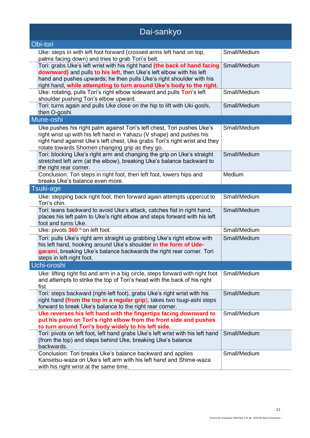| Dai-sankyo                                                                                                                                                                                                                                                                                        |              |
|---------------------------------------------------------------------------------------------------------------------------------------------------------------------------------------------------------------------------------------------------------------------------------------------------|--------------|
| Obi-tori                                                                                                                                                                                                                                                                                          |              |
| Uke: steps in with left foot forward (crossed arms left hand on top,<br>palms facing down) and tries to grab Tori's belt.                                                                                                                                                                         | Small/Medium |
| Tori: grabs Uke's left wrist with his right hand (the back of hand facing<br>downward) and pulls to his left, then Uke's left elbow with his left<br>hand and pushes upwards; he then pulls Uke's right shoulder with his<br>right hand, while attempting to turn around Uke's body to the right. | Small/Medium |
| Uke: rotating, pulls Tori's right elbow sideward and pulls Tori's left<br>shoulder pushing Tori's elbow upward.                                                                                                                                                                                   | Small/Medium |
| Tori: turns again and pulls Uke close on the hip to lift with Uki-goshi,<br>then O-goshi.                                                                                                                                                                                                         | Small/Medium |
| Mune-oshi                                                                                                                                                                                                                                                                                         |              |
| Uke pushes his right palm against Tori's left chest, Tori pushes Uke's<br>right wrist up with his left hand in Yahazu (V shape) and pushes his<br>right hand against Uke's left chest, Uke grabs Tori's right wrist and they<br>rotate towards Shomen changing grip as they go.                   | Small/Medium |
| Tori: blocking Uke's right arm and changing the grip on Uke's straight<br>stretched left arm (at the elbow), breaking Uke's balance backward to<br>the right rear corner.                                                                                                                         | Small/Medium |
| Conclusion: Tori steps in right foot, then left foot, lowers hips and<br>breaks Uke's balance even more.                                                                                                                                                                                          | Medium       |
| Tsuki-age                                                                                                                                                                                                                                                                                         |              |
| Uke: stepping back right foot, then forward again attempts uppercut to<br>Tori's chin.                                                                                                                                                                                                            | Small/Medium |
| Tori: leans backward to avoid Uke's attack, catches fist in right hand,<br>places his left palm to Uke's right elbow and steps forward with his left<br>foot and turns Uke.                                                                                                                       | Small/Medium |
| Uke: pivots 360 ° on left foot.                                                                                                                                                                                                                                                                   | Small/Medium |
| Tori: pulls Uke's right arm straight up grabbing Uke's right elbow with<br>his left hand, hooking around Uke's shoulder in the form of Ude-<br>garami, breaking Uke's balance backwards the right rear corner. Tori<br>steps in left-right foot.                                                  | Small/Medium |
| Uchi-oroshi                                                                                                                                                                                                                                                                                       |              |
| Uke: lifting right fist and arm in a big circle, steps forward with right foot<br>and attempts to strike the top of Tori's head with the back of his right<br>fist.                                                                                                                               | Small/Medium |
| Tori: steps backward (right-left foot), grabs Uke's right wrist with his<br>right hand (from the top in a regular grip), takes two tsugi-ashi steps<br>forward to break Uke's balance to the right rear corner.                                                                                   | Small/Medium |
| Uke reverses his left hand with the fingertips facing downward to<br>put his palm on Tori's right elbow from the front side and pushes<br>to turn around Tori's body widely to his left side.                                                                                                     | Small/Medium |
| Tori: pivots on left foot, left hand grabs Uke's left wrist with his left hand<br>(from the top) and steps behind Uke, breaking Uke's balance<br>backwards.                                                                                                                                       | Small/Medium |
| Conclusion: Tori breaks Uke's balance backward and applies<br>Kansetsu-waza on Uke's left arm with his left hand and Shime-waza<br>with his right wrist at the same time.                                                                                                                         | Small/Medium |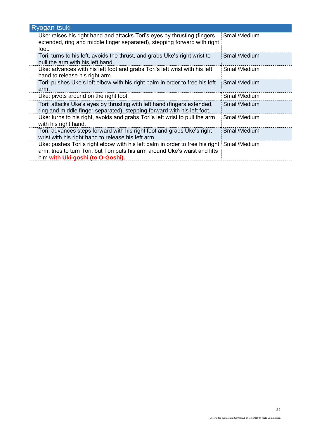| Ryogan-tsuki                                                                                                                                                                                    |              |
|-------------------------------------------------------------------------------------------------------------------------------------------------------------------------------------------------|--------------|
| Uke: raises his right hand and attacks Tori's eyes by thrusting (fingers<br>extended, ring and middle finger separated), stepping forward with right<br>foot.                                   | Small/Medium |
| Tori: turns to his left, avoids the thrust, and grabs Uke's right wrist to<br>pull the arm with his left hand.                                                                                  | Small/Medium |
| Uke: advances with his left foot and grabs Tori's left wrist with his left<br>hand to release his right arm.                                                                                    | Small/Medium |
| Tori: pushes Uke's left elbow with his right palm in order to free his left<br>arm.                                                                                                             | Small/Medium |
| Uke: pivots around on the right foot.                                                                                                                                                           | Small/Medium |
| Tori: attacks Uke's eyes by thrusting with left hand (fingers extended,<br>ring and middle finger separated), stepping forward with his left foot.                                              | Small/Medium |
| Uke: turns to his right, avoids and grabs Tori's left wrist to pull the arm<br>with his right hand.                                                                                             | Small/Medium |
| Tori: advances steps forward with his right foot and grabs Uke's right<br>wrist with his right hand to release his left arm.                                                                    | Small/Medium |
| Uke: pushes Tori's right elbow with his left palm in order to free his right<br>arm, tries to turn Tori, but Tori puts his arm around Uke's waist and lifts<br>him with Uki-goshi (to O-Goshi). | Small/Medium |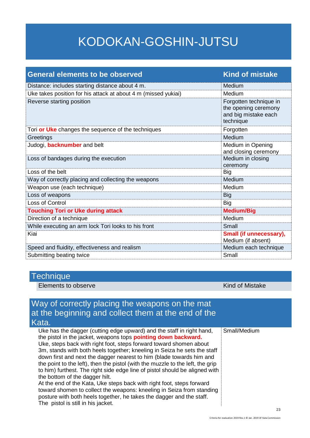### KODOKAN-GOSHIN-JUTSU

| <b>General elements to be observed</b>                         | <b>Kind of mistake</b>                                                              |
|----------------------------------------------------------------|-------------------------------------------------------------------------------------|
| Distance: includes starting distance about 4 m.                | Medium                                                                              |
| Uke takes position for his attack at about 4 m (missed yukiai) | Medium                                                                              |
| Reverse starting position                                      | Forgotten technique in<br>the opening ceremony<br>and big mistake each<br>technique |
| Tori or Uke changes the sequence of the techniques             | Forgotten                                                                           |
| Greetings                                                      | Medium                                                                              |
| Judogi, <b>backnumber</b> and belt                             | Medium in Opening<br>and closing ceremony                                           |
| Loss of bandages during the execution                          | Medium in closing<br>ceremony                                                       |
| Loss of the belt                                               | <b>Big</b>                                                                          |
| Way of correctly placing and collecting the weapons            | Medium                                                                              |
| Weapon use (each technique)                                    | Medium                                                                              |
| Loss of weapons                                                | <b>Big</b>                                                                          |
| Loss of Control                                                | <b>Big</b>                                                                          |
| <b>Touching Tori or Uke during attack</b>                      | <b>Medium/Big</b>                                                                   |
| Direction of a technique                                       | Medium                                                                              |
| While executing an arm lock Tori looks to his front            | Small                                                                               |
| Kiai                                                           | Small (if unnecessary),<br>Medium (if absent)                                       |
| Speed and fluidity, effectiveness and realism                  | Medium each technique                                                               |
| Submitting beating twice                                       | Small                                                                               |

#### **Technique**

Elements to observe Kind of Mistake

### Way of correctly placing the weapons on the mat at the beginning and collect them at the end of the Kata.

| Uke has the dagger (cutting edge upward) and the staff in right hand,          | Small/Medium |
|--------------------------------------------------------------------------------|--------------|
| the pistol in the jacket, weapons tops <b>pointing down backward.</b>          |              |
| Uke, steps back with right foot, steps forward toward shomen about             |              |
| 3m, stands with both heels together; kneeling in Seiza he sets the staff       |              |
| down first and next the dagger nearest to him (blade towards him and           |              |
| the point to the left), then the pistol (with the muzzle to the left, the grip |              |
| to him) furthest. The right side edge line of pistol should be aligned with    |              |
| the bottom of the dagger hilt.                                                 |              |
| At the end of the Kata, Uke steps back with right foot, steps forward          |              |
| toward shomen to collect the weapons: kneeling in Seiza from standing          |              |
| posture with both heels together, he takes the dagger and the staff.           |              |
| The pistol is still in his jacket.                                             |              |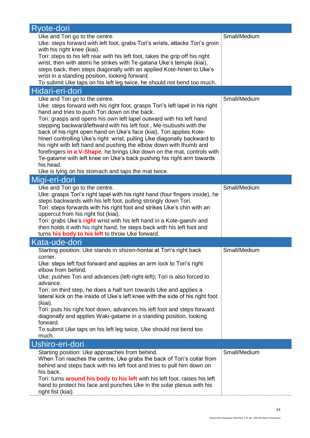| Ryote-dori                                                                                                                                             |              |
|--------------------------------------------------------------------------------------------------------------------------------------------------------|--------------|
| Uke and Tori go to the centre.                                                                                                                         | Small/Medium |
| Uke: steps forward with left foot, grabs Tori's wrists, attacks Tori's groin                                                                           |              |
| with his right knee (kiai).                                                                                                                            |              |
| Tori: steps to his left rear with his left foot, takes the grip off his right<br>wrist, then with atemi he strikes with Te-gatana Uke's temple (kiai), |              |
| steps back, then steps diagonally with an applied Kote-hineri to Uke's                                                                                 |              |
| wrist in a standing position, looking forward.                                                                                                         |              |
| To submit Uke taps on his left leg twice, he should not bend too much.                                                                                 |              |
| Hidari-eri-dori                                                                                                                                        |              |
| Uke and Tori go to the centre.                                                                                                                         | Small/Medium |
| Uke: steps forward with his right foot, grasps Tori's left lapel in his right                                                                          |              |
| hand and tries to push Tori down on the back.                                                                                                          |              |
| Tori: grasps and opens his own left lapel outward with his left hand                                                                                   |              |
| stepping backward/leftward with his left foot, Me-tsubushi with the                                                                                    |              |
| back of his right open hand on Uke's face (kiai), Tori applies Kote-                                                                                   |              |
| hineri controlling Uke's right wrist, pulling Uke diagonally backward to<br>his right with left hand and pushing the elbow down with thumb and         |              |
| forefingers in a V-Shape, he brings Uke down on the mat, controls with                                                                                 |              |
| Te-gatame with left knee on Uke's back pushing his right arm towards                                                                                   |              |
| his head.                                                                                                                                              |              |
| Uke is lying on his stomach and taps the mat twice.                                                                                                    |              |
| Migi-eri-dori                                                                                                                                          |              |
| Uke and Tori go to the centre.                                                                                                                         | Small/Medium |
| Uke: grasps Tori's right lapel with his right hand (four fingers inside), he                                                                           |              |
| steps backwards with his left foot, pulling strongly down Tori.                                                                                        |              |
| Tori: steps forwards with his right foot and strikes Uke's chin with an                                                                                |              |
| uppercut from his right fist (kiai).                                                                                                                   |              |
| Tori: grabs Uke's right wrist with his left hand in a Kote-gaeshi and<br>then holds it with his right hand, he steps back with his left foot and       |              |
| turns his body to his left to throw Uke forward.                                                                                                       |              |
| Kata-ude-dori                                                                                                                                          |              |
| Starting position: Uke stands in shizen-hontai at Tori's right back                                                                                    | Small/Medium |
| corner.                                                                                                                                                |              |
| Uke: steps left foot forward and applies an arm lock to Tori's right                                                                                   |              |
| elbow from behind.                                                                                                                                     |              |
| Uke: pushes Tori and advances (left-right-left); Tori is also forced to<br>advance.                                                                    |              |
| Tori: on third step, he does a half turn towards Uke and applies a                                                                                     |              |
| lateral kick on the inside of Uke's left knee with the side of his right foot                                                                          |              |
| (kiai).                                                                                                                                                |              |
| Tori: puts his right foot down, advances his left foot and steps forward                                                                               |              |
| diagonally and applies Waki-gatame in a standing position, looking                                                                                     |              |
| forward.                                                                                                                                               |              |
| To submit Uke taps on his left leg twice, Uke should not bend too                                                                                      |              |
| much.                                                                                                                                                  |              |
| Ushiro-eri-dori                                                                                                                                        |              |
| Starting position: Uke approaches from behind.                                                                                                         | Small/Medium |
| When Tori reaches the centre, Uke grabs the back of Tori's collar from                                                                                 |              |
| behind and steps back with his left foot and tries to pull him down on<br>his back.                                                                    |              |
| Tori: turns <b>around his body to his left</b> with his left foot, raises his left                                                                     |              |
| hand to protect his face and punches Uke in the solar plexus with his                                                                                  |              |
| right fist (kiai).                                                                                                                                     |              |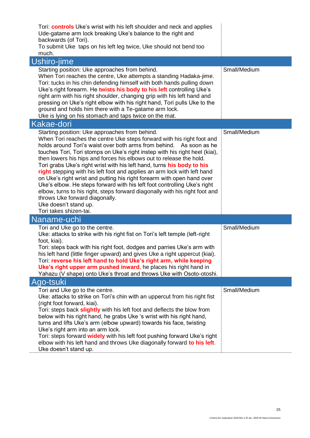| Tori: <b>controls</b> Uke's wrist with his left shoulder and neck and applies<br>Ude-gatame arm lock breaking Uke's balance to the right and<br>backwards (of Tori).<br>To submit Uke taps on his left leg twice, Uke should not bend too<br>much.                                                                                                                                                                                                                                                                                                                                                                                                                                                                                                                                                                                    |              |
|---------------------------------------------------------------------------------------------------------------------------------------------------------------------------------------------------------------------------------------------------------------------------------------------------------------------------------------------------------------------------------------------------------------------------------------------------------------------------------------------------------------------------------------------------------------------------------------------------------------------------------------------------------------------------------------------------------------------------------------------------------------------------------------------------------------------------------------|--------------|
| Ushiro-jime                                                                                                                                                                                                                                                                                                                                                                                                                                                                                                                                                                                                                                                                                                                                                                                                                           |              |
| Starting position: Uke approaches from behind.<br>When Tori reaches the centre, Uke attempts a standing Hadaka-jime.<br>Tori: tucks in his chin defending himself with both hands pulling down<br>Uke's right forearm. He twists his body to his left controlling Uke's<br>right arm with his right shoulder, changing grip with his left hand and<br>pressing on Uke's right elbow with his right hand, Tori pulls Uke to the<br>ground and holds him there with a Te-gatame arm lock.<br>Uke is lying on his stomach and taps twice on the mat.                                                                                                                                                                                                                                                                                     | Small/Medium |
| <b>Kakae-dori</b>                                                                                                                                                                                                                                                                                                                                                                                                                                                                                                                                                                                                                                                                                                                                                                                                                     |              |
| Starting position: Uke approaches from behind.<br>When Tori reaches the centre Uke steps forward with his right foot and<br>holds around Tori's waist over both arms from behind. As soon as he<br>touches Tori, Tori stomps on Uke's right instep with his right heel (kiai),<br>then lowers his hips and forces his elbows out to release the hold.<br>Tori grabs Uke's right wrist with his left hand, turns his body to his<br>right stepping with his left foot and applies an arm lock with left hand<br>on Uke's right wrist and putting his right forearm with open hand over<br>Uke's elbow. He steps forward with his left foot controlling Uke's right<br>elbow, turns to his right, steps forward diagonally with his right foot and<br>throws Uke forward diagonally.<br>Uke doesn't stand up.<br>Tori takes shizen-tai. | Small/Medium |
| Naname-uchi                                                                                                                                                                                                                                                                                                                                                                                                                                                                                                                                                                                                                                                                                                                                                                                                                           |              |
| Tori and Uke go to the centre.<br>Uke: attacks to strike with his right fist on Tori's left temple (left-right<br>foot, kiai).<br>Tori: steps back with his right foot, dodges and parries Uke's arm with<br>his left hand (little finger upward) and gives Uke a right uppercut (kiai).<br>Tori: reverse his left hand to hold Uke's right arm, while keeping<br>Uke's right upper arm pushed inward, he places his right hand in<br>Yahazu (V shape) onto Uke's throat and throws Uke with Osoto-otoshi.                                                                                                                                                                                                                                                                                                                            | Small/Medium |
| Ago-tsuki                                                                                                                                                                                                                                                                                                                                                                                                                                                                                                                                                                                                                                                                                                                                                                                                                             |              |
| Tori and Uke go to the centre.<br>Uke: attacks to strike on Tori's chin with an uppercut from his right fist<br>(right foot forward, kiai).<br>Tori: steps back slightly with his left foot and deflects the blow from<br>below with his right hand, he grabs Uke 's wrist with his right hand,<br>turns and lifts Uke's arm (elbow upward) towards his face, twisting<br>Uke's right arm into an arm lock.<br>Tori: steps forward widely with his left foot pushing forward Uke's right<br>elbow with his left hand and throws Uke diagonally forward to his left.<br>Uke doesn't stand up.                                                                                                                                                                                                                                          | Small/Medium |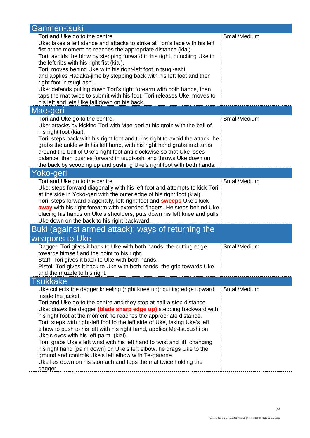| Ganmen-tsuki                                                                                                                                            |              |
|---------------------------------------------------------------------------------------------------------------------------------------------------------|--------------|
| Tori and Uke go to the centre.                                                                                                                          | Small/Medium |
| Uke: takes a left stance and attacks to strike at Tori's face with his left                                                                             |              |
| fist at the moment he reaches the appropriate distance (kiai).                                                                                          |              |
| Tori: avoids the blow by stepping forward to his right, punching Uke in                                                                                 |              |
| the left ribs with his right fist (kiai).                                                                                                               |              |
| Tori: moves behind Uke with his right-left foot in tsugi-ashi                                                                                           |              |
| and applies Hadaka-jime by stepping back with his left foot and then                                                                                    |              |
| right foot in tsugi-ashi.                                                                                                                               |              |
| Uke: defends pulling down Tori's right forearm with both hands, then                                                                                    |              |
| taps the mat twice to submit with his foot, Tori releases Uke, moves to<br>his left and lets Uke fall down on his back.                                 |              |
|                                                                                                                                                         |              |
| Mae-geri                                                                                                                                                |              |
| Tori and Uke go to the centre.                                                                                                                          | Small/Medium |
| Uke: attacks by kicking Tori with Mae-geri at his groin with the ball of                                                                                |              |
| his right foot (kiai).                                                                                                                                  |              |
| Tori: steps back with his right foot and turns right to avoid the attack, he<br>grabs the ankle with his left hand, with his right hand grabs and turns |              |
| around the ball of Uke's right foot anti clockwise so that Uke loses                                                                                    |              |
| balance, then pushes forward in tsugi-ashi and throws Uke down on                                                                                       |              |
| the back by scooping up and pushing Uke's right foot with both hands.                                                                                   |              |
| Yoko-geri                                                                                                                                               |              |
| Tori and Uke go to the centre.                                                                                                                          | Small/Medium |
| Uke: steps forward diagonally with his left foot and attempts to kick Tori                                                                              |              |
| at the side in Yoko-geri with the outer edge of his right foot (kiai).                                                                                  |              |
| Tori: steps forward diagonally, left-right foot and <b>sweeps</b> Uke's kick                                                                            |              |
| away with his right forearm with extended fingers. He steps behind Uke                                                                                  |              |
| placing his hands on Uke's shoulders, puts down his left knee and pulls                                                                                 |              |
| Uke down on the back to his right backward.                                                                                                             |              |
| Buki (against armed attack): ways of returning the                                                                                                      |              |
| weapons to Uke                                                                                                                                          |              |
| Dagger: Tori gives it back to Uke with both hands, the cutting edge                                                                                     | Small/Medium |
| towards himself and the point to his right.                                                                                                             |              |
| Staff: Tori gives it back to Uke with both hands.                                                                                                       |              |
| Pistol: Tori gives it back to Uke with both hands, the grip towards Uke                                                                                 |              |
| and the muzzle to his right.                                                                                                                            |              |
| <b>Tsukkake</b>                                                                                                                                         |              |
| Uke collects the dagger kneeling (right knee up): cutting edge upward                                                                                   | Small/Medium |
| inside the jacket.                                                                                                                                      |              |
| Tori and Uke go to the centre and they stop at half a step distance.                                                                                    |              |
| Uke: draws the dagger (blade sharp edge up) stepping backward with                                                                                      |              |
| his right foot at the moment he reaches the appropriate distance.                                                                                       |              |
| Tori: steps with right-left foot to the left side of Uke, taking Uke's left                                                                             |              |
| elbow to push to his left with his right hand, applies Me-tsubushi on                                                                                   |              |
| Uke's eyes with his left palm (kiai).<br>Tori: grabs Uke's left wrist with his left hand to twist and lift, changing                                    |              |
| his right hand (palm down) on Uke's left elbow, he drags Uke to the                                                                                     |              |
| ground and controls Uke's left elbow with Te-gatame.                                                                                                    |              |
| Uke lies down on his stomach and taps the mat twice holding the                                                                                         |              |
| dagger.                                                                                                                                                 |              |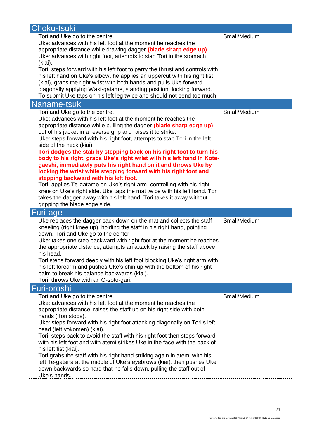| Choku-tsuki                                                                                                                                         |              |
|-----------------------------------------------------------------------------------------------------------------------------------------------------|--------------|
| Tori and Uke go to the centre.                                                                                                                      | Small/Medium |
| Uke: advances with his left foot at the moment he reaches the                                                                                       |              |
| appropriate distance while drawing dagger (blade sharp edge up).                                                                                    |              |
| Uke: advances with right foot, attempts to stab Tori in the stomach                                                                                 |              |
| (kiai).                                                                                                                                             |              |
| Tori: steps forward with his left foot to parry the thrust and controls with                                                                        |              |
| his left hand on Uke's elbow, he applies an uppercut with his right fist                                                                            |              |
| (kiai), grabs the right wrist with both hands and pulls Uke forward<br>diagonally applying Waki-gatame, standing position, looking forward.         |              |
| To submit Uke taps on his left leg twice and should not bend too much.                                                                              |              |
| Naname-tsuki                                                                                                                                        |              |
| Tori and Uke go to the centre.                                                                                                                      | Small/Medium |
| Uke: advances with his left foot at the moment he reaches the                                                                                       |              |
| appropriate distance while pulling the dagger (blade sharp edge up)                                                                                 |              |
| out of his jacket in a reverse grip and raises it to strike.                                                                                        |              |
| Uke: steps forward with his right foot, attempts to stab Tori in the left                                                                           |              |
| side of the neck (kiai).                                                                                                                            |              |
| Tori dodges the stab by stepping back on his right foot to turn his                                                                                 |              |
| body to his right, grabs Uke's right wrist with his left hand in Kote-                                                                              |              |
| gaeshi, immediately puts his right hand on it and throws Uke by                                                                                     |              |
| locking the wrist while stepping forward with his right foot and                                                                                    |              |
| stepping backward with his left foot.                                                                                                               |              |
| Tori: applies Te-gatame on Uke's right arm, controlling with his right<br>knee on Uke's right side. Uke taps the mat twice with his left hand. Tori |              |
| takes the dagger away with his left hand, Tori takes it away without                                                                                |              |
| gripping the blade edge side.                                                                                                                       |              |
| Furi-age                                                                                                                                            |              |
| Uke replaces the dagger back down on the mat and collects the staff                                                                                 | Small/Medium |
| kneeling (right knee up), holding the staff in his right hand, pointing                                                                             |              |
| down. Tori and Uke go to the center.                                                                                                                |              |
| Uke: takes one step backward with right foot at the moment he reaches                                                                               |              |
| the appropriate distance, attempts an attack by raising the staff above                                                                             |              |
| his head.                                                                                                                                           |              |
| Tori steps forward deeply with his left foot blocking Uke's right arm with                                                                          |              |
| his left forearm and pushes Uke's chin up with the bottom of his right                                                                              |              |
| palm to break his balance backwards (kiai).                                                                                                         |              |
| Tori: throws Uke with an O-soto-gari.                                                                                                               |              |
| Furi-oroshi                                                                                                                                         |              |
| Tori and Uke go to the centre.<br>Uke: advances with his left foot at the moment he reaches the                                                     | Small/Medium |
| appropriate distance, raises the staff up on his right side with both                                                                               |              |
| hands (Tori stops).                                                                                                                                 |              |
| Uke: steps forward with his right foot attacking diagonally on Tori's left                                                                          |              |
| head (left yokomen) (kiai).                                                                                                                         |              |
| Tori: steps back to avoid the staff with his right foot then steps forward                                                                          |              |
| with his left foot and with atemi strikes Uke in the face with the back of                                                                          |              |
| his left fist (kiai).                                                                                                                               |              |
| Tori grabs the staff with his right hand striking again in atemi with his                                                                           |              |
| left Te-gatana at the middle of Uke's eyebrows (kiai), then pushes Uke                                                                              |              |
| down backwards so hard that he falls down, pulling the staff out of                                                                                 |              |
| Uke's hands.                                                                                                                                        |              |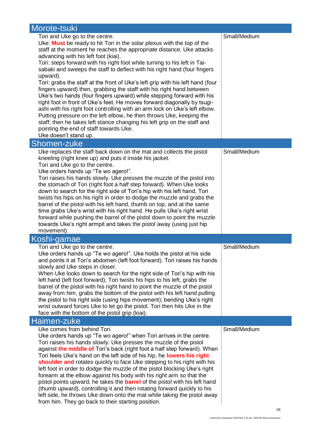| Morote-tsuki                                                                                                                                                                                                                                                                                                                                                                                                                                                                                                                                                                                                                                                                                                                                                                                                                                                                                                                                                                                                     |              |
|------------------------------------------------------------------------------------------------------------------------------------------------------------------------------------------------------------------------------------------------------------------------------------------------------------------------------------------------------------------------------------------------------------------------------------------------------------------------------------------------------------------------------------------------------------------------------------------------------------------------------------------------------------------------------------------------------------------------------------------------------------------------------------------------------------------------------------------------------------------------------------------------------------------------------------------------------------------------------------------------------------------|--------------|
| Tori and Uke go to the centre.<br>Uke: Must be ready to hit Tori in the solar plexus with the top of the<br>staff at the moment he reaches the appropriate distance. Uke attacks<br>advancing with his left foot (kiai).<br>Tori: steps forward with his right foot while turning to his left in Tai-<br>sabaki and sweeps the staff to deflect with his right hand (four fingers<br>upward).<br>Tori: grabs the staff at the front of Uke's left grip with his left hand (four<br>fingers upward) then, grabbing the staff with his right hand between<br>Uke's two hands (four fingers upward) while stepping forward with his<br>right foot in front of Uke's feet. He moves forward diagonally by tsugi-<br>ashi with his right foot controlling with an arm lock on Uke's left elbow.<br>Putting pressure on the left elbow, he then throws Uke, keeping the<br>staff; then he takes left stance changing his left grip on the staff and<br>pointing the end of staff towards Uke.<br>Uke doesn't stand up. | Small/Medium |
| Shomen-zuke                                                                                                                                                                                                                                                                                                                                                                                                                                                                                                                                                                                                                                                                                                                                                                                                                                                                                                                                                                                                      |              |
| Uke replaces the staff back down on the mat and collects the pistol<br>kneeling (right knee up) and puts it inside his jacket.<br>Tori and Uke go to the centre.<br>Uke orders hands up "Te wo agero!".<br>Tori raises his hands slowly. Uke presses the muzzle of the pistol into<br>the stomach of Tori (right foot a half step forward). When Uke looks<br>down to search for the right side of Tori's hip with his left hand, Tori<br>twists his hips on his right in order to dodge the muzzle and grabs the<br>barrel of the pistol with his left hand, thumb on top, and at the same<br>time grabs Uke's wrist with his right hand. He pulls Uke's right wrist<br>forward while pushing the barrel of the pistol down to point the muzzle<br>towards Uke's right armpit and takes the pistol away (using just hip<br>movement).                                                                                                                                                                           | Small/Medium |
| Koshi-gamae                                                                                                                                                                                                                                                                                                                                                                                                                                                                                                                                                                                                                                                                                                                                                                                                                                                                                                                                                                                                      |              |
| Tori and Uke go to the centre.                                                                                                                                                                                                                                                                                                                                                                                                                                                                                                                                                                                                                                                                                                                                                                                                                                                                                                                                                                                   | Small/Medium |
| Uke orders hands up "Te wo agero!". Uke holds the pistol at his side<br>and points it at Tori's abdomen (left foot forward). Tori raises his hands<br>slowly and Uke steps in closer.<br>When Uke looks down to search for the right side of Tori's hip with his<br>left hand (left foot forward), Tori twists his hips to his left, grabs the<br>barrel of the pistol with his right hand to point the muzzle of the pistol<br>away from him, grabs the bottom of the pistol with his left hand pulling<br>the pistol to his right side (using hips movement); bending Uke's right<br>wrist outward forces Uke to let go the pistol. Tori then hits Uke in the<br>face with the bottom of the pistol grip (kiai).                                                                                                                                                                                                                                                                                               |              |
| Haimen-zuke<br>Uke comes from behind Tori.                                                                                                                                                                                                                                                                                                                                                                                                                                                                                                                                                                                                                                                                                                                                                                                                                                                                                                                                                                       | Small/Medium |